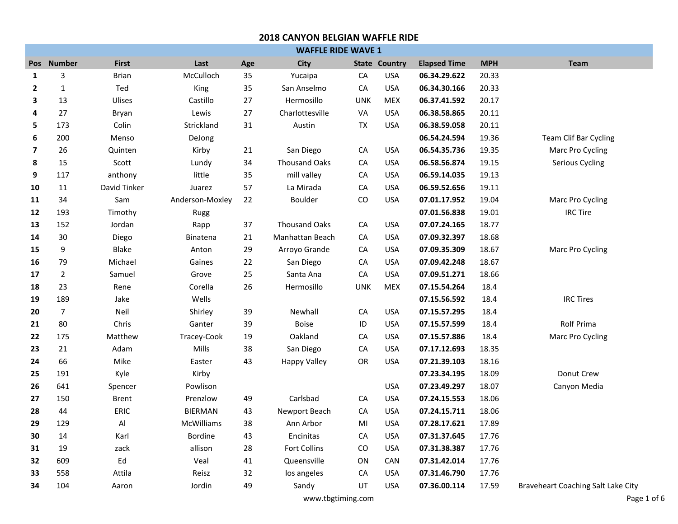| <b>WAFFLE RIDE WAVE 1</b> |                |              |                 |     |                      |            |                      |                     |            |                                    |
|---------------------------|----------------|--------------|-----------------|-----|----------------------|------------|----------------------|---------------------|------------|------------------------------------|
| <b>Pos</b>                | <b>Number</b>  | <b>First</b> | Last            | Age | <b>City</b>          |            | <b>State Country</b> | <b>Elapsed Time</b> | <b>MPH</b> | <b>Team</b>                        |
| $\mathbf{1}$              | 3              | <b>Brian</b> | McCulloch       | 35  | Yucaipa              | CA         | <b>USA</b>           | 06.34.29.622        | 20.33      |                                    |
| $\overline{2}$            | $\mathbf{1}$   | Ted          | King            | 35  | San Anselmo          | CA         | <b>USA</b>           | 06.34.30.166        | 20.33      |                                    |
| 3                         | 13             | Ulises       | Castillo        | 27  | Hermosillo           | <b>UNK</b> | <b>MEX</b>           | 06.37.41.592        | 20.17      |                                    |
| 4                         | 27             | Bryan        | Lewis           | 27  | Charlottesville      | VA         | <b>USA</b>           | 06.38.58.865        | 20.11      |                                    |
| 5                         | 173            | Colin        | Strickland      | 31  | Austin               | <b>TX</b>  | <b>USA</b>           | 06.38.59.058        | 20.11      |                                    |
| 6                         | 200            | Menso        | DeJong          |     |                      |            |                      | 06.54.24.594        | 19.36      | <b>Team Clif Bar Cycling</b>       |
| $\overline{\mathbf{z}}$   | 26             | Quinten      | Kirby           | 21  | San Diego            | CA         | <b>USA</b>           | 06.54.35.736        | 19.35      | Marc Pro Cycling                   |
| 8                         | 15             | Scott        | Lundy           | 34  | <b>Thousand Oaks</b> | ${\sf CA}$ | <b>USA</b>           | 06.58.56.874        | 19.15      | Serious Cycling                    |
| 9                         | 117            | anthony      | little          | 35  | mill valley          | CA         | <b>USA</b>           | 06.59.14.035        | 19.13      |                                    |
| 10                        | 11             | David Tinker | Juarez          | 57  | La Mirada            | CA         | <b>USA</b>           | 06.59.52.656        | 19.11      |                                    |
| 11                        | 34             | Sam          | Anderson-Moxley | 22  | <b>Boulder</b>       | CO         | <b>USA</b>           | 07.01.17.952        | 19.04      | Marc Pro Cycling                   |
| 12                        | 193            | Timothy      | Rugg            |     |                      |            |                      | 07.01.56.838        | 19.01      | <b>IRC Tire</b>                    |
| 13                        | 152            | Jordan       | Rapp            | 37  | <b>Thousand Oaks</b> | ${\sf CA}$ | <b>USA</b>           | 07.07.24.165        | 18.77      |                                    |
| 14                        | 30             | Diego        | Binatena        | 21  | Manhattan Beach      | CA         | <b>USA</b>           | 07.09.32.397        | 18.68      |                                    |
| 15                        | 9              | Blake        | Anton           | 29  | Arroyo Grande        | CA         | <b>USA</b>           | 07.09.35.309        | 18.67      | Marc Pro Cycling                   |
| 16                        | 79             | Michael      | Gaines          | 22  | San Diego            | CA         | <b>USA</b>           | 07.09.42.248        | 18.67      |                                    |
| 17                        | $\overline{2}$ | Samuel       | Grove           | 25  | Santa Ana            | CA         | <b>USA</b>           | 07.09.51.271        | 18.66      |                                    |
| 18                        | 23             | Rene         | Corella         | 26  | Hermosillo           | <b>UNK</b> | <b>MEX</b>           | 07.15.54.264        | 18.4       |                                    |
| 19                        | 189            | Jake         | Wells           |     |                      |            |                      | 07.15.56.592        | 18.4       | <b>IRC Tires</b>                   |
| 20                        | $\overline{7}$ | Neil         | Shirley         | 39  | Newhall              | ${\sf CA}$ | <b>USA</b>           | 07.15.57.295        | 18.4       |                                    |
| 21                        | 80             | Chris        | Ganter          | 39  | <b>Boise</b>         | ID         | <b>USA</b>           | 07.15.57.599        | 18.4       | <b>Rolf Prima</b>                  |
| 22                        | 175            | Matthew      | Tracey-Cook     | 19  | Oakland              | CA         | <b>USA</b>           | 07.15.57.886        | 18.4       | Marc Pro Cycling                   |
| 23                        | 21             | Adam         | Mills           | 38  | San Diego            | CA         | <b>USA</b>           | 07.17.12.693        | 18.35      |                                    |
| 24                        | 66             | Mike         | Easter          | 43  | <b>Happy Valley</b>  | OR         | <b>USA</b>           | 07.21.39.103        | 18.16      |                                    |
| 25                        | 191            | Kyle         | Kirby           |     |                      |            |                      | 07.23.34.195        | 18.09      | Donut Crew                         |
| 26                        | 641            | Spencer      | Powlison        |     |                      |            | <b>USA</b>           | 07.23.49.297        | 18.07      | Canyon Media                       |
| 27                        | 150            | <b>Brent</b> | Prenzlow        | 49  | Carlsbad             | CA         | <b>USA</b>           | 07.24.15.553        | 18.06      |                                    |
| 28                        | 44             | ERIC         | <b>BIERMAN</b>  | 43  | Newport Beach        | CA         | <b>USA</b>           | 07.24.15.711        | 18.06      |                                    |
| 29                        | 129            | Al           | McWilliams      | 38  | Ann Arbor            | MI         | <b>USA</b>           | 07.28.17.621        | 17.89      |                                    |
| 30                        | 14             | Karl         | <b>Bordine</b>  | 43  | Encinitas            | CA         | <b>USA</b>           | 07.31.37.645        | 17.76      |                                    |
| 31                        | 19             | zack         | allison         | 28  | Fort Collins         | CO         | <b>USA</b>           | 07.31.38.387        | 17.76      |                                    |
| 32                        | 609            | Ed           | Veal            | 41  | Queensville          | ON         | CAN                  | 07.31.42.014        | 17.76      |                                    |
| 33                        | 558            | Attila       | Reisz           | 32  | los angeles          | CA         | <b>USA</b>           | 07.31.46.790        | 17.76      |                                    |
| 34                        | 104            | Aaron        | Jordin          | 49  | Sandy                | UT         | <b>USA</b>           | 07.36.00.114        | 17.59      | Braveheart Coaching Salt Lake City |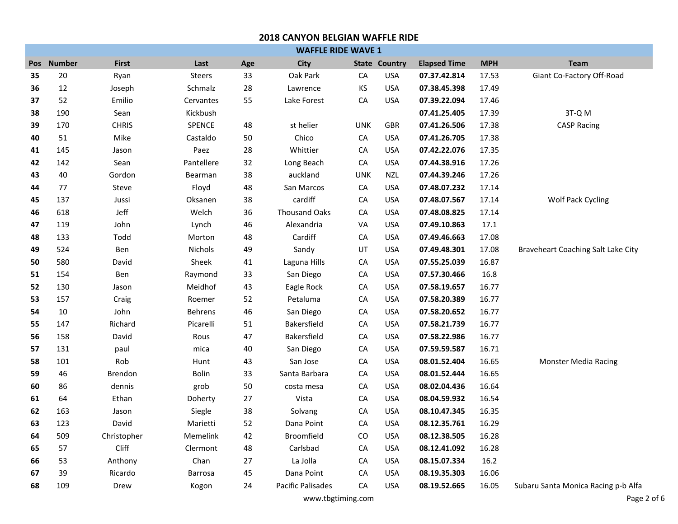# **Pos Number First Last Age City State Country Elapsed Time MPH Team 2018 CANYON BELGIAN WAFFLE RIDE WAFFLE RIDE WAVE 1** 20 Ryan Steers 33 Oak Park CA USA **07.37.42.814** 17.53 Giant Co-Factory Off-Road 12 Joseph Schmalz 28 Lawrence KS USA **07.38.45.398** 17.49 52 Emilio Cervantes 55 Lake Forest CA USA **07.39.22.094** 17.46 190 Sean Kickbush **07.41.25.405** 17.39 3T-Q M 170 CHRIS SPENCE 48 st helier UNK GBR **07.41.26.506** 17.38 CASP Racing 51 Mike Castaldo 50 Chico CA USA **07.41.26.705** 17.38 145 Jason Paez 28 Whittier CA USA **07.42.22.076** 17.35 142 Sean Pantellere 32 Long Beach CA USA **07.44.38.916** 17.26 40 Gordon Bearman 38 auckland UNK NZL **07.44.39.246** 17.26 77 Steve Floyd 48 San Marcos CA USA **07.48.07.232** 17.14 137 Jussi Oksanen 38 cardiff CA USA **07.48.07.567** 17.14 Wolf Pack Cycling 618 Jeff Welch 36 Thousand Oaks CA USA **07.48.08.825** 17.14 119 John Lynch 46 Alexandria VA USA **07.49.10.863** 17.1 133 Todd Morton 48 Cardiff CA USA **07.49.46.663** 17.08 524 Ben Nichols 49 Sandy UT USA **07.49.48.301** 17.08 Braveheart Coaching Salt Lake City 580 David Sheek 41 Laguna Hills CA USA **07.55.25.039** 16.87 154 Ben Raymond 33 San Diego CA USA **07.57.30.466** 16.8 130 Jason Meidhof 43 Eagle Rock CA USA **07.58.19.657** 16.77 157 Craig Roemer 52 Petaluma CA USA **07.58.20.389** 16.77 10 John Behrens 46 San Diego CA USA **07.58.20.652** 16.77 147 Richard Picarelli 51 Bakersfield CA USA **07.58.21.739** 16.77 158 David Rous 47 Bakersfield CA USA **07.58.22.986** 16.77 131 paul mica 40 San Diego CA USA **07.59.59.587** 16.71 101 Rob Hunt 43 San Jose CA USA **08.01.52.404** 16.65 Monster Media Racing 46 Brendon Bolin 33 Santa Barbara CA USA **08.01.52.444** 16.65 86 dennis grob 50 costa mesa CA USA **08.02.04.436** 16.64 64 Ethan Doherty 27 Vista CA USA **08.04.59.932** 16.54 163 Jason Siegle 38 Solvang CA USA **08.10.47.345** 16.35 123 David Marietti 52 Dana Point CA USA **08.12.35.761** 16.29 509 Christopher Memelink 42 Broomfield CO USA **08.12.38.505** 16.28 57 Cliff Clermont 48 Carlsbad CA USA **08.12.41.092** 16.28 53 Anthony Chan 27 La Jolla CA USA **08.15.07.334** 16.2 39 Ricardo Barrosa 45 Dana Point CA USA **08.19.35.303** 16.06 109 Drew Kogon 24 Pacific Palisades CA USA **08.19.52.665** 16.05 Subaru Santa Monica Racing p-b Alfa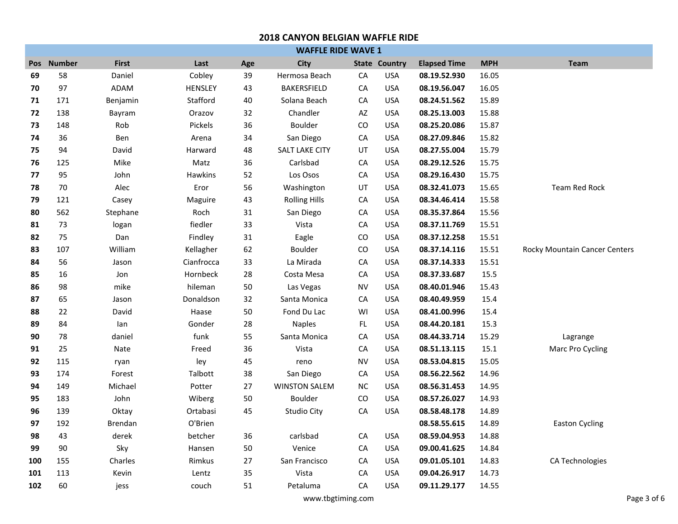|     | <b>WAFFLE RIDE WAVE 1</b> |                |            |        |                       |           |                      |                     |            |                               |  |
|-----|---------------------------|----------------|------------|--------|-----------------------|-----------|----------------------|---------------------|------------|-------------------------------|--|
|     | Pos Number                | <b>First</b>   | Last       | Age    | City                  |           | <b>State Country</b> | <b>Elapsed Time</b> | <b>MPH</b> | <b>Team</b>                   |  |
| 69  | 58                        | Daniel         | Cobley     | 39     | Hermosa Beach         | CA        | <b>USA</b>           | 08.19.52.930        | 16.05      |                               |  |
| 70  | 97                        | ADAM           | HENSLEY    | 43     | <b>BAKERSFIELD</b>    | CA        | <b>USA</b>           | 08.19.56.047        | 16.05      |                               |  |
| 71  | 171                       | Benjamin       | Stafford   | 40     | Solana Beach          | CA        | <b>USA</b>           | 08.24.51.562        | 15.89      |                               |  |
| 72  | 138                       | Bayram         | Orazov     | 32     | Chandler              | AZ        | <b>USA</b>           | 08.25.13.003        | 15.88      |                               |  |
| 73  | 148                       | Rob            | Pickels    | 36     | Boulder               | CO        | <b>USA</b>           | 08.25.20.086        | 15.87      |                               |  |
| 74  | 36                        | Ben            | Arena      | 34     | San Diego             | CA        | <b>USA</b>           | 08.27.09.846        | 15.82      |                               |  |
| 75  | 94                        | David          | Harward    | 48     | <b>SALT LAKE CITY</b> | UT        | <b>USA</b>           | 08.27.55.004        | 15.79      |                               |  |
| 76  | 125                       | Mike           | Matz       | 36     | Carlsbad              | CA        | <b>USA</b>           | 08.29.12.526        | 15.75      |                               |  |
| 77  | 95                        | John           | Hawkins    | 52     | Los Osos              | CA        | <b>USA</b>           | 08.29.16.430        | 15.75      |                               |  |
| 78  | 70                        | Alec           | Eror       | 56     | Washington            | UT        | <b>USA</b>           | 08.32.41.073        | 15.65      | <b>Team Red Rock</b>          |  |
| 79  | 121                       | Casey          | Maguire    | 43     | <b>Rolling Hills</b>  | CA        | <b>USA</b>           | 08.34.46.414        | 15.58      |                               |  |
| 80  | 562                       | Stephane       | Roch       | 31     | San Diego             | CA        | <b>USA</b>           | 08.35.37.864        | 15.56      |                               |  |
| 81  | 73                        | logan          | fiedler    | 33     | Vista                 | CA        | <b>USA</b>           | 08.37.11.769        | 15.51      |                               |  |
| 82  | 75                        | Dan            | Findley    | 31     | Eagle                 | CO        | <b>USA</b>           | 08.37.12.258        | 15.51      |                               |  |
| 83  | 107                       | William        | Kellagher  | 62     | <b>Boulder</b>        | CO        | <b>USA</b>           | 08.37.14.116        | 15.51      | Rocky Mountain Cancer Centers |  |
| 84  | 56                        | Jason          | Cianfrocca | 33     | La Mirada             | CA        | <b>USA</b>           | 08.37.14.333        | 15.51      |                               |  |
| 85  | 16                        | Jon            | Hornbeck   | 28     | Costa Mesa            | CA        | <b>USA</b>           | 08.37.33.687        | 15.5       |                               |  |
| 86  | 98                        | mike           | hileman    | 50     | Las Vegas             | <b>NV</b> | <b>USA</b>           | 08.40.01.946        | 15.43      |                               |  |
| 87  | 65                        | Jason          | Donaldson  | 32     | Santa Monica          | CA        | <b>USA</b>           | 08.40.49.959        | 15.4       |                               |  |
| 88  | 22                        | David          | Haase      | $50\,$ | Fond Du Lac           | WI        | <b>USA</b>           | 08.41.00.996        | 15.4       |                               |  |
| 89  | 84                        | lan            | Gonder     | 28     | <b>Naples</b>         | FL        | <b>USA</b>           | 08.44.20.181        | 15.3       |                               |  |
| 90  | 78                        | daniel         | funk       | 55     | Santa Monica          | CA        | <b>USA</b>           | 08.44.33.714        | 15.29      | Lagrange                      |  |
| 91  | 25                        | Nate           | Freed      | 36     | Vista                 | CA        | <b>USA</b>           | 08.51.13.115        | 15.1       | Marc Pro Cycling              |  |
| 92  | 115                       | ryan           | ley        | 45     | reno                  | <b>NV</b> | <b>USA</b>           | 08.53.04.815        | 15.05      |                               |  |
| 93  | 174                       | Forest         | Talbott    | 38     | San Diego             | CA        | <b>USA</b>           | 08.56.22.562        | 14.96      |                               |  |
| 94  | 149                       | Michael        | Potter     | 27     | <b>WINSTON SALEM</b>  | <b>NC</b> | <b>USA</b>           | 08.56.31.453        | 14.95      |                               |  |
| 95  | 183                       | John           | Wiberg     | 50     | Boulder               | CO        | <b>USA</b>           | 08.57.26.027        | 14.93      |                               |  |
| 96  | 139                       | Oktay          | Ortabasi   | 45     | <b>Studio City</b>    | CA        | <b>USA</b>           | 08.58.48.178        | 14.89      |                               |  |
| 97  | 192                       | <b>Brendan</b> | O'Brien    |        |                       |           |                      | 08.58.55.615        | 14.89      | <b>Easton Cycling</b>         |  |
| 98  | 43                        | derek          | betcher    | 36     | carlsbad              | CA        | <b>USA</b>           | 08.59.04.953        | 14.88      |                               |  |
| 99  | 90                        | Sky            | Hansen     | 50     | Venice                | CA        | <b>USA</b>           | 09.00.41.625        | 14.84      |                               |  |
| 100 | 155                       | Charles        | Rimkus     | 27     | San Francisco         | CA        | <b>USA</b>           | 09.01.05.101        | 14.83      | CA Technologies               |  |
| 101 | 113                       | Kevin          | Lentz      | 35     | Vista                 | CA        | <b>USA</b>           | 09.04.26.917        | 14.73      |                               |  |
| 102 | 60                        | jess           | couch      | 51     | Petaluma              | CA        | <b>USA</b>           | 09.11.29.177        | 14.55      |                               |  |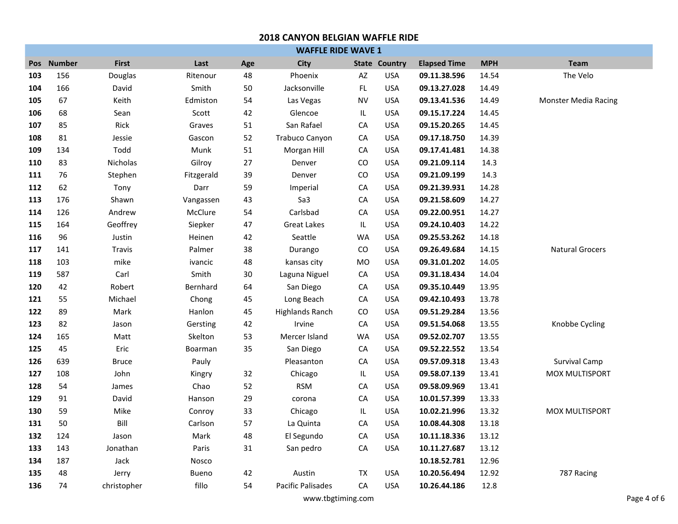|     | <b>WAFFLE RIDE WAVE 1</b> |              |            |     |                          |            |                      |                     |            |                             |
|-----|---------------------------|--------------|------------|-----|--------------------------|------------|----------------------|---------------------|------------|-----------------------------|
|     | Pos Number                | <b>First</b> | Last       | Age | <b>City</b>              |            | <b>State Country</b> | <b>Elapsed Time</b> | <b>MPH</b> | <b>Team</b>                 |
| 103 | 156                       | Douglas      | Ritenour   | 48  | Phoenix                  | AZ         | <b>USA</b>           | 09.11.38.596        | 14.54      | The Velo                    |
| 104 | 166                       | David        | Smith      | 50  | Jacksonville             | FL         | <b>USA</b>           | 09.13.27.028        | 14.49      |                             |
| 105 | 67                        | Keith        | Edmiston   | 54  | Las Vegas                | <b>NV</b>  | <b>USA</b>           | 09.13.41.536        | 14.49      | <b>Monster Media Racing</b> |
| 106 | 68                        | Sean         | Scott      | 42  | Glencoe                  | IL         | <b>USA</b>           | 09.15.17.224        | 14.45      |                             |
| 107 | 85                        | Rick         | Graves     | 51  | San Rafael               | СA         | <b>USA</b>           | 09.15.20.265        | 14.45      |                             |
| 108 | 81                        | Jessie       | Gascon     | 52  | <b>Trabuco Canyon</b>    | CA         | <b>USA</b>           | 09.17.18.750        | 14.39      |                             |
| 109 | 134                       | Todd         | Munk       | 51  | Morgan Hill              | ${\sf CA}$ | <b>USA</b>           | 09.17.41.481        | 14.38      |                             |
| 110 | 83                        | Nicholas     | Gilroy     | 27  | Denver                   | CO         | <b>USA</b>           | 09.21.09.114        | 14.3       |                             |
| 111 | 76                        | Stephen      | Fitzgerald | 39  | Denver                   | CO         | <b>USA</b>           | 09.21.09.199        | 14.3       |                             |
| 112 | 62                        | Tony         | Darr       | 59  | Imperial                 | CA         | <b>USA</b>           | 09.21.39.931        | 14.28      |                             |
| 113 | 176                       | Shawn        | Vangassen  | 43  | Sa3                      | CA         | <b>USA</b>           | 09.21.58.609        | 14.27      |                             |
| 114 | 126                       | Andrew       | McClure    | 54  | Carlsbad                 | CA         | <b>USA</b>           | 09.22.00.951        | 14.27      |                             |
| 115 | 164                       | Geoffrey     | Siepker    | 47  | <b>Great Lakes</b>       | IL         | <b>USA</b>           | 09.24.10.403        | 14.22      |                             |
| 116 | 96                        | Justin       | Heinen     | 42  | Seattle                  | <b>WA</b>  | <b>USA</b>           | 09.25.53.262        | 14.18      |                             |
| 117 | 141                       | Travis       | Palmer     | 38  | Durango                  | CO         | <b>USA</b>           | 09.26.49.684        | 14.15      | <b>Natural Grocers</b>      |
| 118 | 103                       | mike         | ivancic    | 48  | kansas city              | MO         | <b>USA</b>           | 09.31.01.202        | 14.05      |                             |
| 119 | 587                       | Carl         | Smith      | 30  | Laguna Niguel            | ${\sf CA}$ | <b>USA</b>           | 09.31.18.434        | 14.04      |                             |
| 120 | 42                        | Robert       | Bernhard   | 64  | San Diego                | ${\sf CA}$ | <b>USA</b>           | 09.35.10.449        | 13.95      |                             |
| 121 | 55                        | Michael      | Chong      | 45  | Long Beach               | ${\sf CA}$ | <b>USA</b>           | 09.42.10.493        | 13.78      |                             |
| 122 | 89                        | Mark         | Hanlon     | 45  | <b>Highlands Ranch</b>   | ${\rm CO}$ | <b>USA</b>           | 09.51.29.284        | 13.56      |                             |
| 123 | 82                        | Jason        | Gersting   | 42  | Irvine                   | ${\sf CA}$ | <b>USA</b>           | 09.51.54.068        | 13.55      | Knobbe Cycling              |
| 124 | 165                       | Matt         | Skelton    | 53  | Mercer Island            | <b>WA</b>  | <b>USA</b>           | 09.52.02.707        | 13.55      |                             |
| 125 | 45                        | Eric         | Boarman    | 35  | San Diego                | ${\sf CA}$ | <b>USA</b>           | 09.52.22.552        | 13.54      |                             |
| 126 | 639                       | <b>Bruce</b> | Pauly      |     | Pleasanton               | CA         | <b>USA</b>           | 09.57.09.318        | 13.43      | Survival Camp               |
| 127 | 108                       | John         | Kingry     | 32  | Chicago                  | IL         | <b>USA</b>           | 09.58.07.139        | 13.41      | MOX MULTISPORT              |
| 128 | 54                        | James        | Chao       | 52  | <b>RSM</b>               | ${\sf CA}$ | <b>USA</b>           | 09.58.09.969        | 13.41      |                             |
| 129 | 91                        | David        | Hanson     | 29  | corona                   | CA         | <b>USA</b>           | 10.01.57.399        | 13.33      |                             |
| 130 | 59                        | Mike         | Conroy     | 33  | Chicago                  | IL         | <b>USA</b>           | 10.02.21.996        | 13.32      | MOX MULTISPORT              |
| 131 | 50                        | Bill         | Carlson    | 57  | La Quinta                | ${\sf CA}$ | <b>USA</b>           | 10.08.44.308        | 13.18      |                             |
| 132 | 124                       | Jason        | Mark       | 48  | El Segundo               | ${\sf CA}$ | <b>USA</b>           | 10.11.18.336        | 13.12      |                             |
| 133 | 143                       | Jonathan     | Paris      | 31  | San pedro                | СA         | <b>USA</b>           | 10.11.27.687        | 13.12      |                             |
| 134 | 187                       | Jack         | Nosco      |     |                          |            |                      | 10.18.52.781        | 12.96      |                             |
| 135 | 48                        | Jerry        | Bueno      | 42  | Austin                   | TX         | <b>USA</b>           | 10.20.56.494        | 12.92      | 787 Racing                  |
| 136 | 74                        | christopher  | fillo      | 54  | <b>Pacific Palisades</b> | CA         | <b>USA</b>           | 10.26.44.186        | 12.8       |                             |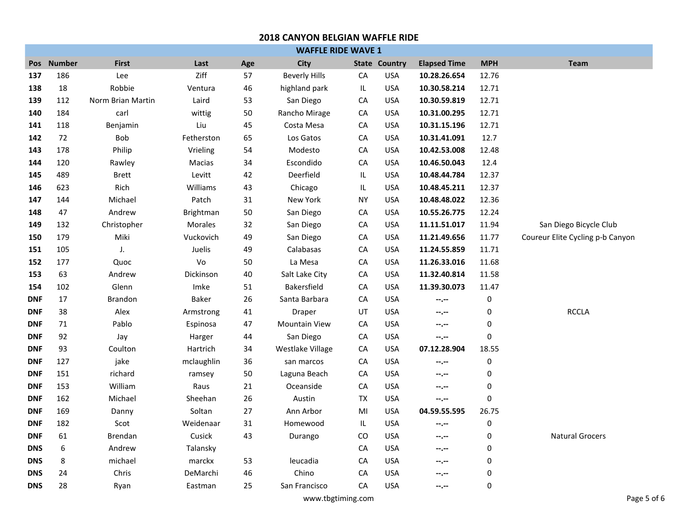| <b>WAFFLE RIDE WAVE 1</b> |            |                   |            |     |                      |                                   |                      |                     |             |                                  |
|---------------------------|------------|-------------------|------------|-----|----------------------|-----------------------------------|----------------------|---------------------|-------------|----------------------------------|
|                           | Pos Number | <b>First</b>      | Last       | Age | <b>City</b>          |                                   | <b>State Country</b> | <b>Elapsed Time</b> | <b>MPH</b>  | <b>Team</b>                      |
| 137                       | 186        | Lee               | Ziff       | 57  | <b>Beverly Hills</b> | CA                                | <b>USA</b>           | 10.28.26.654        | 12.76       |                                  |
| 138                       | 18         | Robbie            | Ventura    | 46  | highland park        | $\ensuremath{\mathsf{IL}}\xspace$ | <b>USA</b>           | 10.30.58.214        | 12.71       |                                  |
| 139                       | 112        | Norm Brian Martin | Laird      | 53  | San Diego            | СA                                | <b>USA</b>           | 10.30.59.819        | 12.71       |                                  |
| 140                       | 184        | carl              | wittig     | 50  | Rancho Mirage        | ${\sf CA}$                        | <b>USA</b>           | 10.31.00.295        | 12.71       |                                  |
| 141                       | 118        | Benjamin          | Liu        | 45  | Costa Mesa           | CA                                | <b>USA</b>           | 10.31.15.196        | 12.71       |                                  |
| 142                       | 72         | Bob               | Fetherston | 65  | Los Gatos            | СA                                | <b>USA</b>           | 10.31.41.091        | 12.7        |                                  |
| 143                       | 178        | Philip            | Vrieling   | 54  | Modesto              | ${\sf CA}$                        | <b>USA</b>           | 10.42.53.008        | 12.48       |                                  |
| 144                       | 120        | Rawley            | Macias     | 34  | Escondido            | CA                                | <b>USA</b>           | 10.46.50.043        | 12.4        |                                  |
| 145                       | 489        | <b>Brett</b>      | Levitt     | 42  | Deerfield            | IL                                | <b>USA</b>           | 10.48.44.784        | 12.37       |                                  |
| 146                       | 623        | Rich              | Williams   | 43  | Chicago              | IL                                | <b>USA</b>           | 10.48.45.211        | 12.37       |                                  |
| 147                       | 144        | Michael           | Patch      | 31  | New York             | <b>NY</b>                         | <b>USA</b>           | 10.48.48.022        | 12.36       |                                  |
| 148                       | 47         | Andrew            | Brightman  | 50  | San Diego            | CA                                | <b>USA</b>           | 10.55.26.775        | 12.24       |                                  |
| 149                       | 132        | Christopher       | Morales    | 32  | San Diego            | CA                                | <b>USA</b>           | 11.11.51.017        | 11.94       | San Diego Bicycle Club           |
| 150                       | 179        | Miki              | Vuckovich  | 49  | San Diego            | CA                                | <b>USA</b>           | 11.21.49.656        | 11.77       | Coureur Elite Cycling p-b Canyon |
| 151                       | 105        | J.                | Juelis     | 49  | Calabasas            | CA                                | <b>USA</b>           | 11.24.55.859        | 11.71       |                                  |
| 152                       | 177        | Quoc              | Vo         | 50  | La Mesa              | CA                                | <b>USA</b>           | 11.26.33.016        | 11.68       |                                  |
| 153                       | 63         | Andrew            | Dickinson  | 40  | Salt Lake City       | CA                                | <b>USA</b>           | 11.32.40.814        | 11.58       |                                  |
| 154                       | 102        | Glenn             | Imke       | 51  | <b>Bakersfield</b>   | СA                                | <b>USA</b>           | 11.39.30.073        | 11.47       |                                  |
| <b>DNF</b>                | 17         | Brandon           | Baker      | 26  | Santa Barbara        | ${\sf CA}$                        | <b>USA</b>           | --.--               | $\pmb{0}$   |                                  |
| <b>DNF</b>                | 38         | Alex              | Armstrong  | 41  | Draper               | UT                                | <b>USA</b>           | --.--               | $\pmb{0}$   | <b>RCCLA</b>                     |
| <b>DNF</b>                | 71         | Pablo             | Espinosa   | 47  | <b>Mountain View</b> | СA                                | <b>USA</b>           | --.--               | 0           |                                  |
| <b>DNF</b>                | 92         | Jay               | Harger     | 44  | San Diego            | CA                                | <b>USA</b>           | $-2$                | $\mathbf 0$ |                                  |
| <b>DNF</b>                | 93         | Coulton           | Hartrich   | 34  | Westlake Village     | СA                                | <b>USA</b>           | 07.12.28.904        | 18.55       |                                  |
| <b>DNF</b>                | 127        | jake              | mclaughlin | 36  | san marcos           | CA                                | <b>USA</b>           | --.--               | 0           |                                  |
| <b>DNF</b>                | 151        | richard           | ramsey     | 50  | Laguna Beach         | СA                                | <b>USA</b>           | --.--               | $\mathbf 0$ |                                  |
| <b>DNF</b>                | 153        | William           | Raus       | 21  | Oceanside            | CA                                | <b>USA</b>           | --.--               | $\pmb{0}$   |                                  |
| <b>DNF</b>                | 162        | Michael           | Sheehan    | 26  | Austin               | TX                                | <b>USA</b>           | --.--               | 0           |                                  |
| <b>DNF</b>                | 169        | Danny             | Soltan     | 27  | Ann Arbor            | MI                                | <b>USA</b>           | 04.59.55.595        | 26.75       |                                  |
| <b>DNF</b>                | 182        | Scot              | Weidenaar  | 31  | Homewood             | $\ensuremath{\mathsf{IL}}\xspace$ | <b>USA</b>           | $-2 - 1$            | $\pmb{0}$   |                                  |
| <b>DNF</b>                | 61         | <b>Brendan</b>    | Cusick     | 43  | Durango              | CO                                | <b>USA</b>           | --.--               | $\mathbf 0$ | <b>Natural Grocers</b>           |
| <b>DNS</b>                | 6          | Andrew            | Talansky   |     |                      | ${\sf CA}$                        | <b>USA</b>           | --.--               | 0           |                                  |
| <b>DNS</b>                | 8          | michael           | marckx     | 53  | leucadia             | СA                                | <b>USA</b>           | --.--               | $\mathbf 0$ |                                  |
| <b>DNS</b>                | 24         | Chris             | DeMarchi   | 46  | Chino                | CA                                | <b>USA</b>           | --.--               | $\mathbf 0$ |                                  |
| <b>DNS</b>                | 28         | Ryan              | Eastman    | 25  | San Francisco        | CA                                | <b>USA</b>           | --.--               | $\mathbf 0$ |                                  |